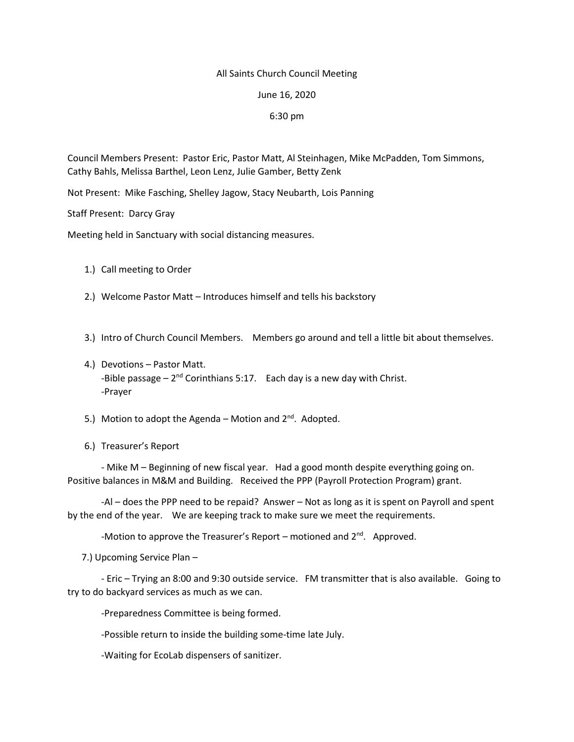## All Saints Church Council Meeting

June 16, 2020

## 6:30 pm

Council Members Present: Pastor Eric, Pastor Matt, Al Steinhagen, Mike McPadden, Tom Simmons, Cathy Bahls, Melissa Barthel, Leon Lenz, Julie Gamber, Betty Zenk

Not Present: Mike Fasching, Shelley Jagow, Stacy Neubarth, Lois Panning

Staff Present: Darcy Gray

Meeting held in Sanctuary with social distancing measures.

- 1.) Call meeting to Order
- 2.) Welcome Pastor Matt Introduces himself and tells his backstory
- 3.) Intro of Church Council Members. Members go around and tell a little bit about themselves.
- 4.) Devotions Pastor Matt. -Bible passage  $-2^{nd}$  Corinthians 5:17. Each day is a new day with Christ. -Prayer
- 5.) Motion to adopt the Agenda Motion and  $2^{nd}$ . Adopted.
- 6.) Treasurer's Report

- Mike M – Beginning of new fiscal year. Had a good month despite everything going on. Positive balances in M&M and Building. Received the PPP (Payroll Protection Program) grant.

-Al – does the PPP need to be repaid? Answer – Not as long as it is spent on Payroll and spent by the end of the year. We are keeping track to make sure we meet the requirements.

-Motion to approve the Treasurer's Report – motioned and  $2^{nd}$ . Approved.

7.) Upcoming Service Plan –

- Eric – Trying an 8:00 and 9:30 outside service. FM transmitter that is also available. Going to try to do backyard services as much as we can.

-Preparedness Committee is being formed.

-Possible return to inside the building some-time late July.

-Waiting for EcoLab dispensers of sanitizer.